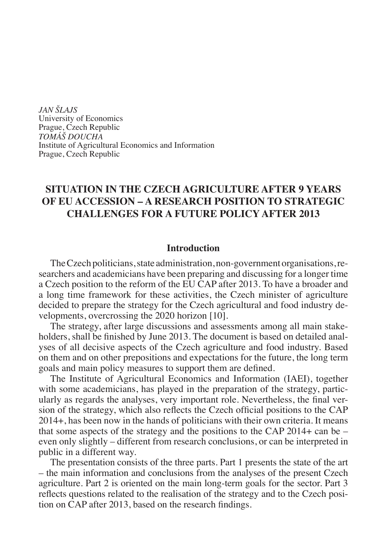*JAN ŠLAJS* University of Economics Prague, Czech Republic *TOMÁŠ DOUCHA* Institute of Agricultural Economics and Information Prague, Czech Republic

# **SITUATION IN THE CZECH AGRICULTURE AFTER 9 YEARS OF EU ACCESSION – A RESEARCH POSITION TO STRATEGIC CHALLENGES FOR A FUTURE POLICY AFTER 2013**

#### **Introduction**

The Czech politicians, state administration, non-government organisations, researchers and academicians have been preparing and discussing for a longer time a Czech position to the reform of the EU CAP after 2013. To have a broader and a long time framework for these activities, the Czech minister of agriculture decided to prepare the strategy for the Czech agricultural and food industry developments, overcrossing the 2020 horizon [10].

The strategy, after large discussions and assessments among all main stakeholders, shall be finished by June 2013. The document is based on detailed analyses of all decisive aspects of the Czech agriculture and food industry. Based on them and on other prepositions and expectations for the future, the long term goals and main policy measures to support them are defined.

The Institute of Agricultural Economics and Information (IAEI), together with some academicians, has played in the preparation of the strategy, particularly as regards the analyses, very important role. Nevertheless, the final version of the strategy, which also reflects the Czech official positions to the CAP 2014+, has been now in the hands of politicians with their own criteria. It means that some aspects of the strategy and the positions to the CAP 2014+ can be  $$ even only slightly – different from research conclusions, or can be interpreted in public in a different way.

The presentation consists of the three parts. Part 1 presents the state of the art – the main information and conclusions from the analyses of the present Czech agriculture. Part 2 is oriented on the main long-term goals for the sector. Part 3 reflects questions related to the realisation of the strategy and to the Czech position on CAP after 2013, based on the research findings.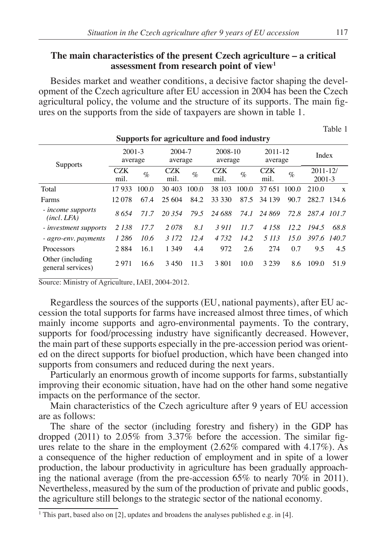# **The main characteristics of the present Czech agriculture – a critical assessment from research point of view1**

Besides market and weather conditions, a decisive factor shaping the development of the Czech agriculture after EU accession in 2004 has been the Czech agricultural policy, the volume and the structure of its supports. The main figures on the supports from the side of taxpayers are shown in table 1.

**Supports for agriculture and food industry**

Table 1

|                                        | Supports for agriculture and food muustry |       |                   |       |                    |       |                    |       |                            |        |  |
|----------------------------------------|-------------------------------------------|-------|-------------------|-------|--------------------|-------|--------------------|-------|----------------------------|--------|--|
| <b>Supports</b>                        | $2001 - 3$<br>average                     |       | 2004-7<br>average |       | 2008-10<br>average |       | 2011-12<br>average |       | Index                      |        |  |
|                                        | <b>CZK</b><br>mil.                        | $\%$  | CZK<br>mil.       | $\%$  | CZK<br>mil.        | $\%$  | <b>CZK</b><br>mil. | $\%$  | $2011 - 12/$<br>$2001 - 3$ |        |  |
| Total                                  | 17933                                     | 100.0 | 30.403            | 100.0 | 38 103             | 100.0 | 37 651             | 100.0 | 210.0                      | X      |  |
| Farms                                  | 12.078                                    | 67.4  | 25 604            | 84.2  | 33 330             | 87.5  | 34 139             | 90.7  | 282.7                      | -134.6 |  |
| <i>income supports</i><br>(incl. LFA)  | 8654                                      | 71.7  | 20.354            | 79.5  | 24 688             | 74.I  | 24 869             |       | 72.8 287.4 101.7           |        |  |
| - <i>investment supports</i>           | 2 1 3 8                                   | 17.7  | 2078              | 8.1   | 3911               | 11.7  | 4 1 5 8            | 12.2  | 194.5                      | 68.8   |  |
| - agro-env. payments                   | 1 2 8 6                                   | 10.6  | 3 1 7 2           | 12.4  | 4 7 3 2            | 14.2  | 5 113              | 15.0  | 397.6 140.7                |        |  |
| Processors                             | 2884                                      | 16.1  | 1 3 4 9           | 4.4   | 972                | 2.6   | 274                | 0.7   | 9.5                        | 4.5    |  |
| Other (including)<br>general services) | 2.971                                     | 16.6  | 3450              | 11.3  | 3 8 0 1            | 10.0  | 3 2 3 9            | 8.6   | 109.0                      | 51.9   |  |

Source: Ministry of Agriculture, IAEI, 2004-2012.

Regardless the sources of the supports (EU, national payments), after EU accession the total supports for farms have increased almost three times, of which mainly income supports and agro-environmental payments. To the contrary, supports for food/processing industry have significantly decreased. However, the main part of these supports especially in the pre-accession period was oriented on the direct supports for biofuel production, which have been changed into supports from consumers and reduced during the next years.

Particularly an enormous growth of income supports for farms, substantially improving their economic situation, have had on the other hand some negative impacts on the performance of the sector.

Main characteristics of the Czech agriculture after 9 years of EU accession are as follows:

The share of the sector (including forestry and fishery) in the GDP has dropped (2011) to 2.05% from 3.37% before the accession. The similar figures relate to the share in the employment (2.62% compared with 4.17%). As a consequence of the higher reduction of employment and in spite of a lower production, the labour productivity in agriculture has been gradually approaching the national average (from the pre-accession 65% to nearly 70% in 2011). Nevertheless, measured by the sum of the production of private and public goods, the agriculture still belongs to the strategic sector of the national economy.

<sup>&</sup>lt;sup>1</sup> This part, based also on [2], updates and broadens the analyses published e.g. in [4].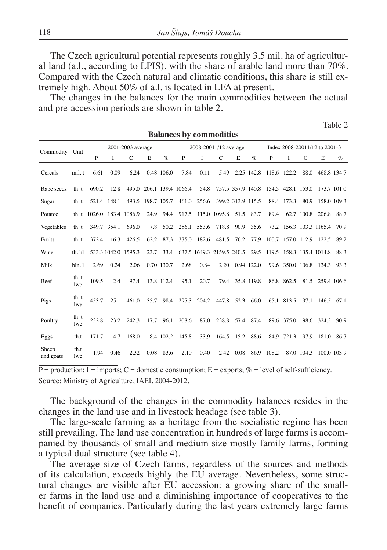The Czech agricultural potential represents roughly 3.5 mil. ha of agricultural land (a.l., according to LPIS), with the share of arable land more than 70%. Compared with the Czech natural and climatic conditions, this share is still extremely high. About 50% of a.l. is located in LFA at present.

The changes in the balances for the main commodities between the actual and pre-accession periods are shown in table 2.

**Balances by commodities**

Table 2

|                    | Dalances by commodities |                   |             |                          |                   |                       |                          |             |                           |                               |                 |                                     |            |               |                               |             |
|--------------------|-------------------------|-------------------|-------------|--------------------------|-------------------|-----------------------|--------------------------|-------------|---------------------------|-------------------------------|-----------------|-------------------------------------|------------|---------------|-------------------------------|-------------|
| Commodity Unit     |                         | 2001-2003 average |             |                          |                   | 2008-20011/12 average |                          |             |                           | Index 2008-20011/12 to 2001-3 |                 |                                     |            |               |                               |             |
|                    |                         | P                 | L           | C                        | E                 | $\%$                  | P                        | 1           | $\mathcal{C}$             | E                             | $\%$            | P                                   | L          | $\mathcal{C}$ | E                             | $\%$        |
| Cereals            | mil.t                   | 6.61              | 0.09        | 6.24                     |                   | 0.48 106.0            | 7.84                     | 0.11        | 5.49                      |                               |                 | 2.25 142.8 118.6 122.2              |            | 88.0          |                               | 468.8 134.7 |
| Rape seeds         | th.t                    | 690.2             | 12.8        |                          |                   |                       | 495.0 206.1 139.4 1066.4 | 54.8        |                           |                               |                 | 757.5 357.9 140.8 154.5 428.1 153.0 |            |               | 173.7 101.0                   |             |
| Sugar              | th. t                   |                   | 521.4 148.1 |                          | 493.5 198.7 105.7 |                       |                          | 461.0 256.6 | 399.2 313.9 115.5         |                               |                 |                                     | 88.4 173.3 | 80.9          | 158.0 109.3                   |             |
| Potatoe            |                         |                   |             | th.t 1026.0 183.4 1086.9 |                   | 24.9 94.4             | 917.5                    |             | 115.0 1095.8 51.5         |                               | 83.7            | 89.4                                |            | 62.7 100.8    | 206.8                         | 88.7        |
| Vegetables         | th.t                    |                   | 349.7 354.1 | 696.0                    | 7.8               | 50.2                  |                          | 256.1 553.6 | 718.8                     | 90.9                          | 35.6            |                                     |            |               | 73.2 156.3 103.3 1165.4       | 70.9        |
| Fruits             | th. t                   |                   | 372.4 116.3 | 426.5                    | 62.2              | 87.3                  |                          | 375.0 182.6 | 481.5 76.2                |                               | 77.9            | 100.7 157.0 112.9                   |            |               | 122.5                         | 89.2        |
| Wine               | th. hl                  |                   |             | 533.3 1042.0 1595.3      | 23.7              | 33.4                  |                          |             | 637.5 1649.3 2159.5 240.5 |                               |                 |                                     |            |               | 29.5 119.5 158.3 135.4 1014.8 | 88.3        |
| Milk               | bln.1                   | 2.69              | 0.24        | 2.06                     |                   | 0.70 130.7            | 2.68                     | 0.84        |                           |                               | 2.20 0.94 122.0 |                                     |            |               | 99.6 350.0 106.8 134.3        | 93.3        |
| Beef               | th.t<br><i>lwe</i>      | 109.5             | 2.4         | 97.4                     |                   | 13.8 112.4            | 95.1                     | 20.7        | 79.4                      |                               | 35.8 119.8      |                                     | 86.8 862.5 |               | 81.5 259.4 106.6              |             |
| Pigs               | th.t<br><i>lwe</i>      | 453.7             | 25.1        | 461.0                    | 35.7              | 98.4                  |                          |             | 295.3 204.2 447.8 52.3    |                               | 66.0            |                                     | 65.1 813.5 |               | 97.1 146.5 67.1               |             |
| Poultry            | th. t<br>lwe            | 232.8             | 23.2        | 242.3                    |                   | 17.7 96.1             | 208.6                    | 87.0        |                           |                               | 238.8 57.4 87.4 |                                     | 89.6 375.0 |               | 98.6 324.3 90.9               |             |
| Eggs               | th.t                    | 171.7             | 4.7         | 168.0                    |                   |                       | 8.4 102.2 145.8          | 33.9        |                           | 164.5 15.2                    | 88.6            |                                     | 84.9 721.3 | 97.9          | 181.0 86.7                    |             |
| Sheep<br>and goats | th.t<br>lwe             | 1.94              | 0.46        | 2.32                     |                   | 0.08 83.6             | 2.10                     | 0.40        | 2.42                      | 0.08                          |                 | 86.9 108.2                          |            | 87.0 104.3    |                               | 100.0 103.9 |

 $P =$  production; I = imports; C = domestic consumption; E = exports; % = level of self-sufficiency. Source: Ministry of Agriculture, IAEI, 2004-2012.

The background of the changes in the commodity balances resides in the changes in the land use and in livestock headage (see table 3).

The large-scale farming as a heritage from the socialistic regime has been still prevailing. The land use concentration in hundreds of large farms is accompanied by thousands of small and medium size mostly family farms, forming a typical dual structure (see table 4).

The average size of Czech farms, regardless of the sources and methods of its calculation, exceeds highly the EU average. Nevertheless, some structural changes are visible after EU accession: a growing share of the smaller farms in the land use and a diminishing importance of cooperatives to the benefit of companies. Particularly during the last years extremely large farms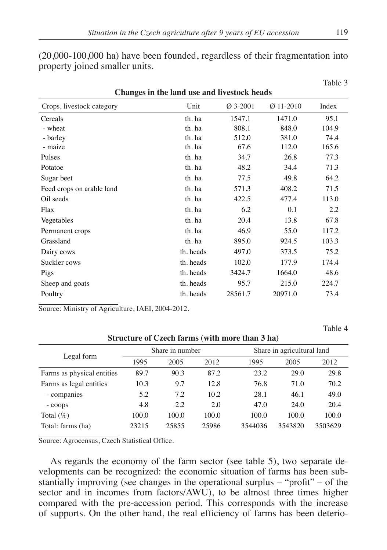| $(20,000-100,000)$ has have been founded, regardless of their fragmentation into |  |  |
|----------------------------------------------------------------------------------|--|--|
| property joined smaller units.                                                   |  |  |

| Changes in the land use and livestock heads |           |            |             |       |  |  |  |  |
|---------------------------------------------|-----------|------------|-------------|-------|--|--|--|--|
| Crops, livestock category                   | Unit      | $Ø$ 3-2001 | $Ø$ 11-2010 | Index |  |  |  |  |
| Cereals                                     | th. ha    | 1547.1     | 1471.0      | 95.1  |  |  |  |  |
| - wheat                                     | th. ha    | 808.1      | 848.0       | 104.9 |  |  |  |  |
| - barley                                    | th. ha    | 512.0      | 381.0       | 74.4  |  |  |  |  |
| - maize                                     | th. ha    | 67.6       | 112.0       | 165.6 |  |  |  |  |
| Pulses                                      | th. ha    | 34.7       | 26.8        | 77.3  |  |  |  |  |
| Potatoe                                     | th. ha    | 48.2       | 34.4        | 71.3  |  |  |  |  |
| Sugar beet                                  | th. ha    | 77.5       | 49.8        | 64.2  |  |  |  |  |
| Feed crops on arable land                   | th. ha    | 571.3      | 408.2       | 71.5  |  |  |  |  |
| Oil seeds                                   | th. ha    | 422.5      | 477.4       | 113.0 |  |  |  |  |
| Flax                                        | th. ha    | 6.2        | 0.1         | 2.2   |  |  |  |  |
| Vegetables                                  | th. ha    | 20.4       | 13.8        | 67.8  |  |  |  |  |
| Permanent crops                             | th. ha    | 46.9       | 55.0        | 117.2 |  |  |  |  |
| Grassland                                   | th. ha    | 895.0      | 924.5       | 103.3 |  |  |  |  |
| Dairy cows                                  | th. heads | 497.0      | 373.5       | 75.2  |  |  |  |  |
| Suckler cows                                | th. heads | 102.0      | 177.9       | 174.4 |  |  |  |  |
| Pigs                                        | th. heads | 3424.7     | 1664.0      | 48.6  |  |  |  |  |
| Sheep and goats                             | th. heads | 95.7       | 215.0       | 224.7 |  |  |  |  |
| Poultry                                     | th. heads | 28561.7    | 20971.0     | 73.4  |  |  |  |  |

Source: Ministry of Agriculture, IAEI, 2004-2012.

Table 4

|                            |       | Share in number |       |         | Share in agricultural land |         |  |  |  |  |  |  |  |
|----------------------------|-------|-----------------|-------|---------|----------------------------|---------|--|--|--|--|--|--|--|
| Legal form                 | 1995  | 2005            | 2012  | 1995    | 2005                       | 2012    |  |  |  |  |  |  |  |
| Farms as physical entities | 89.7  | 90.3            | 87.2  | 23.2    | 29.0                       | 29.8    |  |  |  |  |  |  |  |
| Farms as legal entities    | 10.3  | 9.7             | 12.8  | 76.8    | 71.0                       | 70.2    |  |  |  |  |  |  |  |
| - companies                | 5.2   | 7.2             | 10.2  | 28.1    | 46.1                       | 49.0    |  |  |  |  |  |  |  |
| - coops                    | 4.8   | 2.2             | 2.0   | 47.0    | 24.0                       | 20.4    |  |  |  |  |  |  |  |
| Total $(\%)$               | 100.0 | 100.0           | 100.0 | 100.0   | 100.0                      | 100.0   |  |  |  |  |  |  |  |
| Total: farms (ha)          | 23215 | 25855           | 25986 | 3544036 | 3543820                    | 3503629 |  |  |  |  |  |  |  |

# **Structure of Czech farms (with more than 3 ha)**

Source: Agrocensus, Czech Statistical Office.

As regards the economy of the farm sector (see table 5), two separate developments can be recognized: the economic situation of farms has been substantially improving (see changes in the operational surplus – "profit" – of the sector and in incomes from factors/AWU), to be almost three times higher compared with the pre-accession period. This corresponds with the increase of supports. On the other hand, the real efficiency of farms has been deterio-

Table 3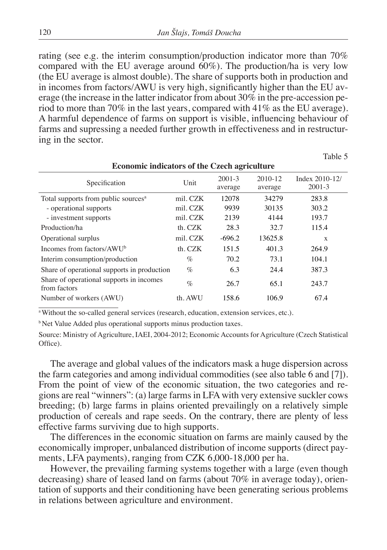rating (see e.g. the interim consumption/production indicator more than 70% compared with the EU average around 60%). The production/ha is very low (the EU average is almost double). The share of supports both in production and in incomes from factors/AWU is very high, significantly higher than the EU average (the increase in the latter indicator from about 30% in the pre-accession period to more than 70% in the last years, compared with 41% as the EU average). A harmful dependence of farms on support is visible, influencing behaviour of farms and supressing a needed further growth in effectiveness and in restructuring in the sector.

Table 5

| <b>Economic indicators of the Czech agriculture</b>      |          |                       |                    |                              |  |  |  |  |
|----------------------------------------------------------|----------|-----------------------|--------------------|------------------------------|--|--|--|--|
| Specification                                            | Unit     | $2001 - 3$<br>average | 2010-12<br>average | Index 2010-12/<br>$2001 - 3$ |  |  |  |  |
| Total supports from public sources <sup>a</sup>          | mil. CZK | 12078                 | 34279              | 283.8                        |  |  |  |  |
| - operational supports                                   | mil. CZK | 9939                  | 30135              | 303.2                        |  |  |  |  |
| - investment supports                                    | mil. CZK | 2139                  | 4144               | 193.7                        |  |  |  |  |
| Production/ha                                            | th. CZK  | 28.3                  | 32.7               | 115.4                        |  |  |  |  |
| Operational surplus                                      | mil. CZK | $-696.2$              | 13625.8            | X                            |  |  |  |  |
| Incomes from factors/AWU <sup>b</sup>                    | th. CZK  | 151.5                 | 401.3              | 264.9                        |  |  |  |  |
| Interim consumption/production                           | %        | 70.2                  | 73.1               | 104.1                        |  |  |  |  |
| Share of operational supports in production              | $\%$     | 6.3                   | 24.4               | 387.3                        |  |  |  |  |
| Share of operational supports in incomes<br>from factors | $\%$     | 26.7                  | 65.1               | 243.7                        |  |  |  |  |
| Number of workers (AWU)                                  | th. AWU  | 158.6                 | 106.9              | 67.4                         |  |  |  |  |

<sup>a</sup> Without the so-called general services (research, education, extension services, etc.).

b Net Value Added plus operational supports minus production taxes.

Source: Ministry of Agriculture, IAEI, 2004-2012; Economic Accounts for Agriculture (Czech Statistical Office).

The average and global values of the indicators mask a huge dispersion across the farm categories and among individual commodities (see also table 6 and [7]). From the point of view of the economic situation, the two categories and regions are real "winners": (a) large farms in LFA with very extensive suckler cows breeding; (b) large farms in plains oriented prevailingly on a relatively simple production of cereals and rape seeds. On the contrary, there are plenty of less effective farms surviving due to high supports.

The differences in the economic situation on farms are mainly caused by the economically improper, unbalanced distribution of income supports (direct payments, LFA payments), ranging from CZK 6,000-18,000 per ha.

However, the prevailing farming systems together with a large (even though decreasing) share of leased land on farms (about 70% in average today), orientation of supports and their conditioning have been generating serious problems in relations between agriculture and environment.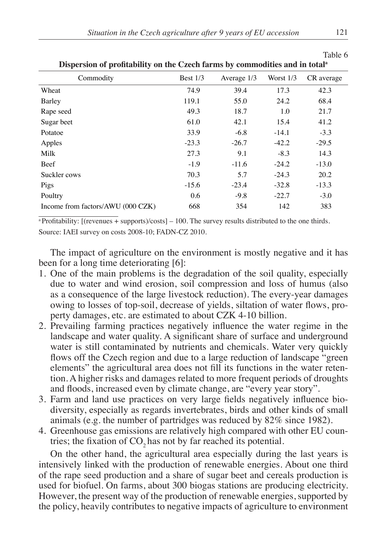| Dispersion of promability on the Czech farms by commodities and in total |            |               |             |            |  |  |  |  |  |
|--------------------------------------------------------------------------|------------|---------------|-------------|------------|--|--|--|--|--|
| Commodity                                                                | Best $1/3$ | Average $1/3$ | Worst $1/3$ | CR average |  |  |  |  |  |
| Wheat                                                                    | 74.9       | 39.4          | 17.3        | 42.3       |  |  |  |  |  |
| Barley                                                                   | 119.1      | 55.0          | 24.2        | 68.4       |  |  |  |  |  |
| Rape seed                                                                | 49.3       | 18.7          | 1.0         | 21.7       |  |  |  |  |  |
| Sugar beet                                                               | 61.0       | 42.1          | 15.4        | 41.2       |  |  |  |  |  |
| Potatoe                                                                  | 33.9       | $-6.8$        | $-14.1$     | $-3.3$     |  |  |  |  |  |
| Apples                                                                   | $-23.3$    | $-26.7$       | $-42.2$     | $-29.5$    |  |  |  |  |  |
| Milk                                                                     | 27.3       | 9.1           | $-8.3$      | 14.3       |  |  |  |  |  |
| Beef                                                                     | $-1.9$     | $-11.6$       | $-24.2$     | $-13.0$    |  |  |  |  |  |
| Suckler cows                                                             | 70.3       | 5.7           | $-24.3$     | 20.2       |  |  |  |  |  |
| Pigs                                                                     | $-15.6$    | $-23.4$       | $-32.8$     | $-13.3$    |  |  |  |  |  |
| Poultry                                                                  | 0.6        | $-9.8$        | $-22.7$     | $-3.0$     |  |  |  |  |  |
| Income from factors/AWU (000 CZK)                                        | 668        | 354           | 142         | 383        |  |  |  |  |  |

**Dispersion of profitability on the Czech farms by commodities and in total<sup>a</sup>**

 $a$ Profitability: [(revenues + supports)/costs] – 100. The survey results distributed to the one thirds. Source: IAEI survey on costs 2008-10; FADN-CZ 2010.

The impact of agriculture on the environment is mostly negative and it has been for a long time deteriorating [6]:

- 1. One of the main problems is the degradation of the soil quality, especially due to water and wind erosion, soil compression and loss of humus (also as a consequence of the large livestock reduction). The every-year damages owing to losses of top-soil, decrease of yields, siltation of water flows, property damages, etc. are estimated to about CZK 4-10 billion.
- 2. Prevailing farming practices negatively influence the water regime in the landscape and water quality. A significant share of surface and underground water is still contaminated by nutrients and chemicals. Water very quickly flows off the Czech region and due to a large reduction of landscape "green elements" the agricultural area does not fill its functions in the water retention. A higher risks and damages related to more frequent periods of droughts and floods, increased even by climate change, are "every year story".
- 3. Farm and land use practices on very large fields negatively influence biodiversity, especially as regards invertebrates, birds and other kinds of small animals (e.g. the number of partridges was reduced by 82% since 1982).
- 4. Greenhouse gas emissions are relatively high compared with other EU countries; the fixation of CO<sub>2</sub> has not by far reached its potential.

On the other hand, the agricultural area especially during the last years is intensively linked with the production of renewable energies. About one third of the rape seed production and a share of sugar beet and cereals production is used for biofuel. On farms, about 300 biogas stations are producing electricity. However, the present way of the production of renewable energies, supported by the policy, heavily contributes to negative impacts of agriculture to environment

Table 6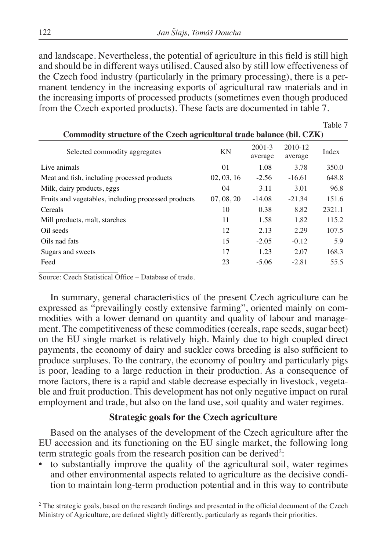and landscape. Nevertheless, the potential of agriculture in this field is still high and should be in different ways utilised. Caused also by still low effectiveness of the Czech food industry (particularly in the primary processing), there is a permanent tendency in the increasing exports of agricultural raw materials and in the increasing imports of processed products (sometimes even though produced from the Czech exported products). These facts are documented in table 7.

Table 7

|                                                     |                | Commodity su acture or the Czech agricultural trade balance (bill Cziry |                    |        |  |  |  |  |  |  |
|-----------------------------------------------------|----------------|-------------------------------------------------------------------------|--------------------|--------|--|--|--|--|--|--|
| Selected commodity aggregates                       | <b>KN</b>      | $2001 - 3$<br>average                                                   | 2010-12<br>average | Index  |  |  |  |  |  |  |
| Live animals                                        | 0 <sub>1</sub> | 1.08                                                                    | 3.78               | 350.0  |  |  |  |  |  |  |
| Meat and fish, including processed products         | 02, 03, 16     | $-2.56$                                                                 | $-16.61$           | 648.8  |  |  |  |  |  |  |
| Milk, dairy products, eggs                          | 04             | 3.11                                                                    | 3.01               | 96.8   |  |  |  |  |  |  |
| Fruits and vegetables, including processed products | 07, 08, 20     | $-14.08$                                                                | $-21.34$           | 151.6  |  |  |  |  |  |  |
| Cereals                                             | 10             | 0.38                                                                    | 8.82               | 2321.1 |  |  |  |  |  |  |
| Mill products, malt, starches                       | 11             | 1.58                                                                    | 1.82               | 115.2  |  |  |  |  |  |  |
| Oil seeds                                           | 12             | 2.13                                                                    | 2.29               | 107.5  |  |  |  |  |  |  |
| Oils nad fats                                       | 15             | $-2.05$                                                                 | $-0.12$            | 5.9    |  |  |  |  |  |  |
| Sugars and sweets                                   | 17             | 1.23                                                                    | 2.07               | 168.3  |  |  |  |  |  |  |
| Feed                                                | 23             | $-5.06$                                                                 | $-2.81$            | 55.5   |  |  |  |  |  |  |
|                                                     |                |                                                                         |                    |        |  |  |  |  |  |  |

**Commodity structure of the Czech agricultural trade balance (bil. CZK)**

Source: Czech Statistical Office – Database of trade.

In summary, general characteristics of the present Czech agriculture can be expressed as "prevailingly costly extensive farming", oriented mainly on commodities with a lower demand on quantity and quality of labour and management. The competitiveness of these commodities (cereals, rape seeds, sugar beet) on the EU single market is relatively high. Mainly due to high coupled direct payments, the economy of dairy and suckler cows breeding is also sufficient to produce surpluses. To the contrary, the economy of poultry and particularly pigs is poor, leading to a large reduction in their production. As a consequence of more factors, there is a rapid and stable decrease especially in livestock, vegetable and fruit production. This development has not only negative impact on rural employment and trade, but also on the land use, soil quality and water regimes.

## **Strategic goals for the Czech agriculture**

Based on the analyses of the development of the Czech agriculture after the EU accession and its functioning on the EU single market, the following long term strategic goals from the research position can be derived<sup>2</sup>:

• to substantially improve the quality of the agricultural soil, water regimes and other environmental aspects related to agriculture as the decisive condition to maintain long-term production potential and in this way to contribute

<sup>&</sup>lt;sup>2</sup> The strategic goals, based on the research findings and presented in the official document of the Czech Ministry of Agriculture, are defined slightly differently, particularly as regards their priorities.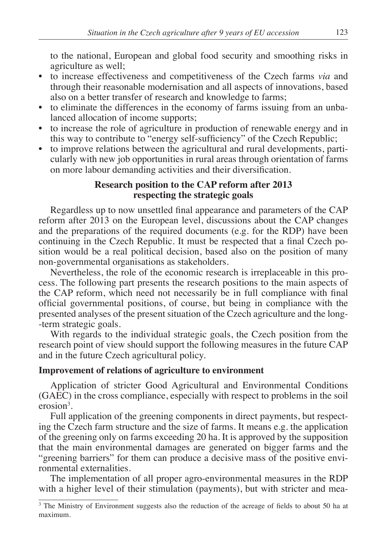to the national, European and global food security and smoothing risks in agriculture as well;

- to increase effectiveness and competitiveness of the Czech farms *via* and through their reasonable modernisation and all aspects of innovations, based also on a better transfer of research and knowledge to farms;
- to eliminate the differences in the economy of farms issuing from an unbalanced allocation of income supports;
- to increase the role of agriculture in production of renewable energy and in this way to contribute to "energy self-sufficiency" of the Czech Republic;
- to improve relations between the agricultural and rural developments, particularly with new job opportunities in rural areas through orientation of farms on more labour demanding activities and their diversification.

# **Research position to the CAP reform after 2013 respecting the strategic goals**

Regardless up to now unsettled final appearance and parameters of the CAP reform after 2013 on the European level, discussions about the CAP changes and the preparations of the required documents (e.g. for the RDP) have been continuing in the Czech Republic. It must be respected that a final Czech position would be a real political decision, based also on the position of many non-governmental organisations as stakeholders.

Nevertheless, the role of the economic research is irreplaceable in this process. The following part presents the research positions to the main aspects of the CAP reform, which need not necessarily be in full compliance with final official governmental positions, of course, but being in compliance with the presented analyses of the present situation of the Czech agriculture and the long- -term strategic goals.

With regards to the individual strategic goals, the Czech position from the research point of view should support the following measures in the future CAP and in the future Czech agricultural policy.

## **Improvement of relations of agriculture to environment**

Application of stricter Good Agricultural and Environmental Conditions (GAEC) in the cross compliance, especially with respect to problems in the soil  $erosion<sup>3</sup>$ .

Full application of the greening components in direct payments, but respecting the Czech farm structure and the size of farms. It means e.g. the application of the greening only on farms exceeding 20 ha. It is approved by the supposition that the main environmental damages are generated on bigger farms and the "greening barriers" for them can produce a decisive mass of the positive environmental externalities.

The implementation of all proper agro-environmental measures in the RDP with a higher level of their stimulation (payments), but with stricter and mea-

<sup>&</sup>lt;sup>3</sup> The Ministry of Environment suggests also the reduction of the acreage of fields to about 50 ha at maximum.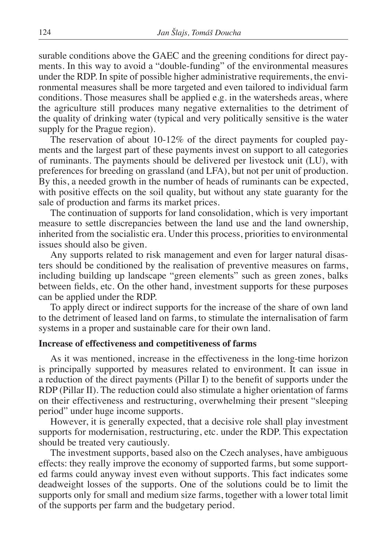surable conditions above the GAEC and the greening conditions for direct payments. In this way to avoid a "double-funding" of the environmental measures under the RDP. In spite of possible higher administrative requirements, the environmental measures shall be more targeted and even tailored to individual farm conditions. Those measures shall be applied e.g. in the watersheds areas, where the agriculture still produces many negative externalities to the detriment of the quality of drinking water (typical and very politically sensitive is the water supply for the Prague region).

The reservation of about 10-12% of the direct payments for coupled payments and the largest part of these payments invest on support to all categories of ruminants. The payments should be delivered per livestock unit (LU), with preferences for breeding on grassland (and LFA), but not per unit of production. By this, a needed growth in the number of heads of ruminants can be expected, with positive effects on the soil quality, but without any state guaranty for the sale of production and farms its market prices.

The continuation of supports for land consolidation, which is very important measure to settle discrepancies between the land use and the land ownership, inherited from the socialistic era. Under this process, priorities to environmental issues should also be given.

Any supports related to risk management and even for larger natural disasters should be conditioned by the realisation of preventive measures on farms, including building up landscape "green elements" such as green zones, balks between fields, etc. On the other hand, investment supports for these purposes can be applied under the RDP.

To apply direct or indirect supports for the increase of the share of own land to the detriment of leased land on farms, to stimulate the internalisation of farm systems in a proper and sustainable care for their own land.

#### **Increase of effectiveness and competitiveness of farms**

As it was mentioned, increase in the effectiveness in the long-time horizon is principally supported by measures related to environment. It can issue in a reduction of the direct payments (Pillar I) to the benefit of supports under the RDP (Pillar II). The reduction could also stimulate a higher orientation of farms on their effectiveness and restructuring, overwhelming their present "sleeping period" under huge income supports.

However, it is generally expected, that a decisive role shall play investment supports for modernisation, restructuring, etc. under the RDP. This expectation should be treated very cautiously.

The investment supports, based also on the Czech analyses, have ambiguous effects: they really improve the economy of supported farms, but some supported farms could anyway invest even without supports. This fact indicates some deadweight losses of the supports. One of the solutions could be to limit the supports only for small and medium size farms, together with a lower total limit of the supports per farm and the budgetary period.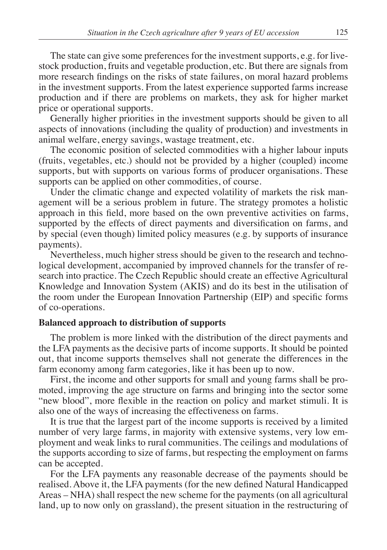The state can give some preferences for the investment supports, e.g. for livestock production, fruits and vegetable production, etc. But there are signals from more research findings on the risks of state failures, on moral hazard problems in the investment supports. From the latest experience supported farms increase production and if there are problems on markets, they ask for higher market price or operational supports.

Generally higher priorities in the investment supports should be given to all aspects of innovations (including the quality of production) and investments in animal welfare, energy savings, wastage treatment, etc.

The economic position of selected commodities with a higher labour inputs (fruits, vegetables, etc.) should not be provided by a higher (coupled) income supports, but with supports on various forms of producer organisations. These supports can be applied on other commodities, of course.

Under the climatic change and expected volatility of markets the risk management will be a serious problem in future. The strategy promotes a holistic approach in this field, more based on the own preventive activities on farms, supported by the effects of direct payments and diversification on farms, and by special (even though) limited policy measures (e.g. by supports of insurance payments).

Nevertheless, much higher stress should be given to the research and technological development, accompanied by improved channels for the transfer of research into practice. The Czech Republic should create an effective Agricultural Knowledge and Innovation System (AKIS) and do its best in the utilisation of the room under the European Innovation Partnership (EIP) and specific forms of co-operations.

#### **Balanced approach to distribution of supports**

The problem is more linked with the distribution of the direct payments and the LFA payments as the decisive parts of income supports. It should be pointed out, that income supports themselves shall not generate the differences in the farm economy among farm categories, like it has been up to now.

First, the income and other supports for small and young farms shall be promoted, improving the age structure on farms and bringing into the sector some "new blood", more flexible in the reaction on policy and market stimuli. It is also one of the ways of increasing the effectiveness on farms.

It is true that the largest part of the income supports is received by a limited number of very large farms, in majority with extensive systems, very low employment and weak links to rural communities. The ceilings and modulations of the supports according to size of farms, but respecting the employment on farms can be accepted.

For the LFA payments any reasonable decrease of the payments should be realised. Above it, the LFA payments (for the new defined Natural Handicapped Areas – NHA) shall respect the new scheme for the payments (on all agricultural land, up to now only on grassland), the present situation in the restructuring of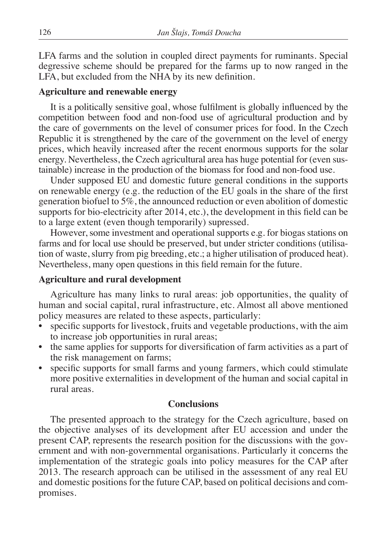LFA farms and the solution in coupled direct payments for ruminants. Special degressive scheme should be prepared for the farms up to now ranged in the LFA, but excluded from the NHA by its new definition.

#### **Agriculture and renewable energy**

It is a politically sensitive goal, whose fulfilment is globally influenced by the competition between food and non-food use of agricultural production and by the care of governments on the level of consumer prices for food. In the Czech Republic it is strengthened by the care of the government on the level of energy prices, which heavily increased after the recent enormous supports for the solar energy. Nevertheless, the Czech agricultural area has huge potential for (even sustainable) increase in the production of the biomass for food and non-food use.

Under supposed EU and domestic future general conditions in the supports on renewable energy (e.g. the reduction of the EU goals in the share of the first generation biofuel to 5%, the announced reduction or even abolition of domestic supports for bio-electricity after 2014, etc.), the development in this field can be to a large extent (even though temporarily) supressed.

However, some investment and operational supports e.g. for biogas stations on farms and for local use should be preserved, but under stricter conditions (utilisation of waste, slurry from pig breeding, etc.; a higher utilisation of produced heat). Nevertheless, many open questions in this field remain for the future.

#### **Agriculture and rural development**

Agriculture has many links to rural areas: job opportunities, the quality of human and social capital, rural infrastructure, etc. Almost all above mentioned policy measures are related to these aspects, particularly:

- specific supports for livestock, fruits and vegetable productions, with the aim to increase job opportunities in rural areas;
- the same applies for supports for diversification of farm activities as a part of the risk management on farms;
- specific supports for small farms and young farmers, which could stimulate more positive externalities in development of the human and social capital in rural areas.

#### **Conclusions**

The presented approach to the strategy for the Czech agriculture, based on the objective analyses of its development after EU accession and under the present CAP, represents the research position for the discussions with the government and with non-governmental organisations. Particularly it concerns the implementation of the strategic goals into policy measures for the CAP after 2013. The research approach can be utilised in the assessment of any real EU and domestic positions for the future CAP, based on political decisions and compromises.